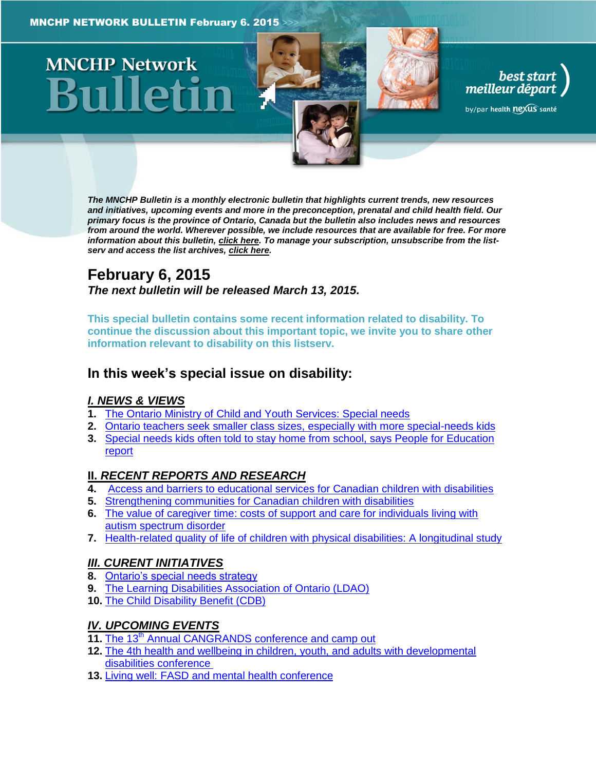# **MNCHP Network**

*The MNCHP Bulletin is a monthly electronic bulletin that highlights current trends, new resources and initiatives, upcoming events and more in the preconception, prenatal and child health field. Our primary focus is the province of Ontario, Canada but the bulletin also includes news and resources from around the world. Wherever possible, we include resources that are available for free. For more information about this bulletin[, click here.](#page-8-0) To manage your subscription, unsubscribe from the listserv and access the list archives, [click here.](http://en.beststart.org/services/information-exchange)* 

best start<br>meilleur départ

by/par health nexus santé

### **February 6, 2015** *The next bulletin will be released March 13, 2015.*

**This special bulletin contains some recent information related to disability. To continue the discussion about this important topic, we invite you to share other information relevant to disability on this listserv.** 

### **In this week's special issue on disability:**

### *[I. NEWS & VIEWS](#page-1-0)*

- **1.** [The Ontario Ministry of Child and Youth Services: Special needs](#page-1-1)
- **2.** [Ontario teachers seek smaller class sizes, especially with more special-needs kids](#page-1-2)
- **3.** [Special needs kids often told to stay home from school, says People for Education](#page-1-3)  [report](#page-1-3)

### **II.** *[RECENT REPORTS AND RESEARCH](#page-2-0)*

- **4.** [Access and barriers to educational services for Canadian children with disabilities](#page-2-1)
- **5.** [Strengthening communities for Canadian children with disabilities](#page-2-2)
- **6.** [The value of caregiver time: costs of support and care for individuals living with](#page-3-0)  [autism spectrum disorder](#page-3-0)
- **7.** [Health-related quality of life of children with physical disabilities: A longitudinal study](#page-3-1)

### *[III. CURENT INITIATIVES](#page-5-0)*

- **8.** [Ontario's special needs strategy](#page-5-1)
- **9.** [The Learning Disabilities Association of Ontario \(LDAO\)](#page-5-2)
- **10.** [The Child Disability Benefit \(CDB\)](#page-5-3)

### *[IV. UPCOMING EVENTS](#page-5-4)*

- 11. The 13<sup>th</sup> [Annual CANGRANDS conference and camp out](#page-5-5)
- **12.** [The 4th health and wellbeing in children, youth, and adults with developmental](#page-6-0)  [disabilities conference](#page-6-0)
- **13.** [Living well: FASD and mental health conference](#page-6-1)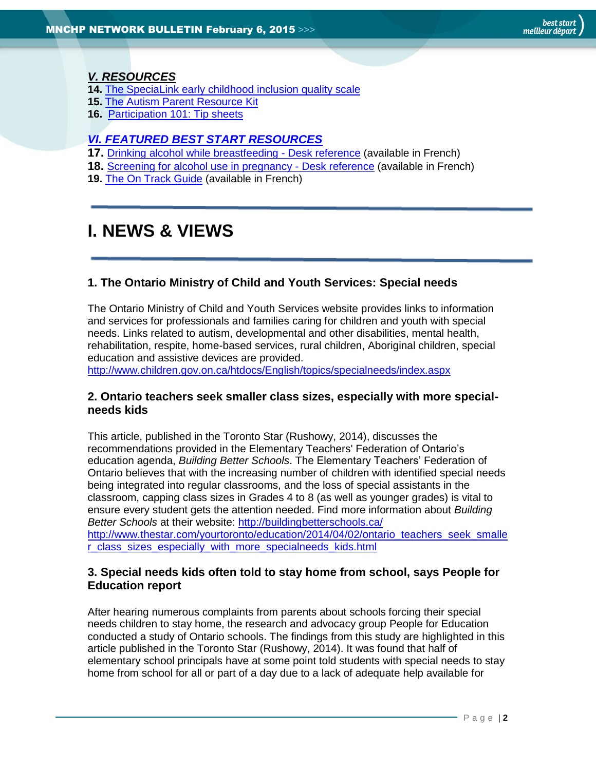### *[V. RESOURCES](#page-6-2)*

- **14.** [The SpeciaLink early childhood inclusion quality scale](#page-6-3)
- **15.** [The Autism Parent Resource Kit](#page-7-0)
- **16.** [Participation 101: Tip sheets](#page-7-1)

### *[VI. FEATURED BEST START RESOURCES](#page-7-2)*

- **17.** [Drinking alcohol while breastfeeding -](#page-7-3) Desk reference (available in French)
- **18.** [Screening for alcohol use in pregnancy -](#page-8-1) Desk reference (available in French)
- **19.** [The On Track Guide](#page-8-2) (available in French)

# <span id="page-1-0"></span>**I. NEWS & VIEWS**

### <span id="page-1-1"></span>**1. The Ontario Ministry of Child and Youth Services: Special needs**

The Ontario Ministry of Child and Youth Services website provides links to information and services for professionals and families caring for children and youth with special needs. Links related to autism, developmental and other disabilities, mental health, rehabilitation, respite, home-based services, rural children, Aboriginal children, special education and assistive devices are provided.

<http://www.children.gov.on.ca/htdocs/English/topics/specialneeds/index.aspx>

### <span id="page-1-2"></span>**2. Ontario teachers seek smaller class sizes, especially with more specialneeds kids**

This article, published in the Toronto Star (Rushowy, 2014), discusses the recommendations provided in the Elementary Teachers' Federation of Ontario's education agenda, *Building Better Schools*. The Elementary Teachers' Federation of Ontario believes that with the increasing number of children with identified special needs being integrated into regular classrooms, and the loss of special assistants in the classroom, capping class sizes in Grades 4 to 8 (as well as younger grades) is vital to ensure every student gets the attention needed. Find more information about *Building Better Schools* at their website:<http://buildingbetterschools.ca/> [http://www.thestar.com/yourtoronto/education/2014/04/02/ontario\\_teachers\\_seek\\_smalle](http://www.thestar.com/yourtoronto/education/2014/04/02/ontario_teachers_seek_smaller_class_sizes_especially_with_more_specialneeds_kids.html) [r\\_class\\_sizes\\_especially\\_with\\_more\\_specialneeds\\_kids.html](http://www.thestar.com/yourtoronto/education/2014/04/02/ontario_teachers_seek_smaller_class_sizes_especially_with_more_specialneeds_kids.html)

### <span id="page-1-3"></span>**3. Special needs kids often told to stay home from school, says People for Education report**

After hearing numerous complaints from parents about schools forcing their special needs children to stay home, the research and advocacy group People for Education conducted a study of Ontario schools. The findings from this study are highlighted in this article published in the Toronto Star (Rushowy, 2014). It was found that half of elementary school principals have at some point told students with special needs to stay home from school for all or part of a day due to a lack of adequate help available for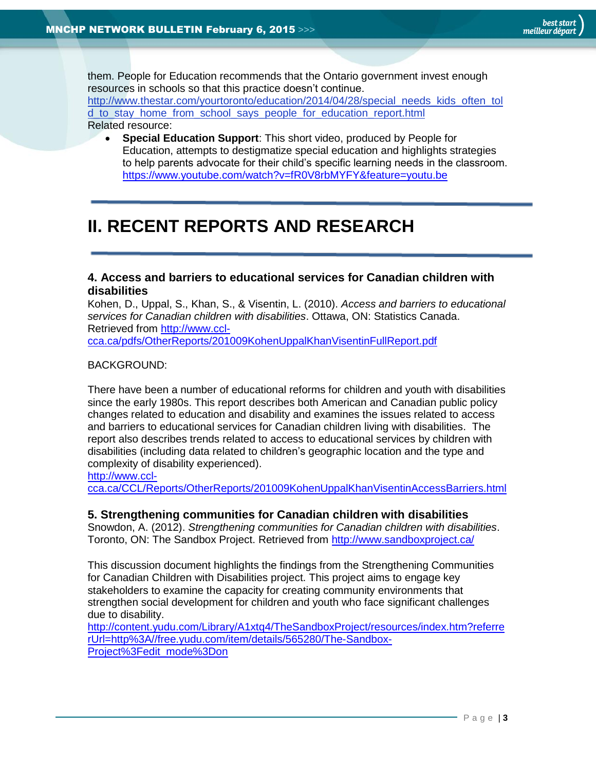them. People for Education recommends that the Ontario government invest enough resources in schools so that this practice doesn't continue. [http://www.thestar.com/yourtoronto/education/2014/04/28/special\\_needs\\_kids\\_often\\_tol](http://www.thestar.com/yourtoronto/education/2014/04/28/special_needs_kids_often_told_to_stay_home_from_school_says_people_for_education_report.html) [d\\_to\\_stay\\_home\\_from\\_school\\_says\\_people\\_for\\_education\\_report.html](http://www.thestar.com/yourtoronto/education/2014/04/28/special_needs_kids_often_told_to_stay_home_from_school_says_people_for_education_report.html) Related resource:

 **Special Education Support**: This short video, produced by People for Education, attempts to destigmatize special education and highlights strategies to help parents advocate for their child's specific learning needs in the classroom. <https://www.youtube.com/watch?v=fR0V8rbMYFY&feature=youtu.be>

## <span id="page-2-0"></span>**II. RECENT REPORTS AND RESEARCH**

### <span id="page-2-1"></span>**4. Access and barriers to educational services for Canadian children with disabilities**

Kohen, D., Uppal, S., Khan, S., & Visentin, L. (2010). *Access and barriers to educational services for Canadian children with disabilities*. Ottawa, ON: Statistics Canada. Retrieved from [http://www.ccl](http://www.ccl-cca.ca/pdfs/OtherReports/201009KohenUppalKhanVisentinFullReport.pdf)[cca.ca/pdfs/OtherReports/201009KohenUppalKhanVisentinFullReport.pdf](http://www.ccl-cca.ca/pdfs/OtherReports/201009KohenUppalKhanVisentinFullReport.pdf)

#### BACKGROUND:

There have been a number of educational reforms for children and youth with disabilities since the early 1980s. This report describes both American and Canadian public policy changes related to education and disability and examines the issues related to access and barriers to educational services for Canadian children living with disabilities. The report also describes trends related to access to educational services by children with disabilities (including data related to children's geographic location and the type and complexity of disability experienced).

[http://www.ccl-](http://www.ccl-cca.ca/CCL/Reports/OtherReports/201009KohenUppalKhanVisentinAccessBarriers.html)

[cca.ca/CCL/Reports/OtherReports/201009KohenUppalKhanVisentinAccessBarriers.html](http://www.ccl-cca.ca/CCL/Reports/OtherReports/201009KohenUppalKhanVisentinAccessBarriers.html)

#### <span id="page-2-2"></span>**5. Strengthening communities for Canadian children with disabilities**

Snowdon, A. (2012). *Strengthening communities for Canadian children with disabilities*. Toronto, ON: The Sandbox Project. Retrieved from<http://www.sandboxproject.ca/>

This discussion document highlights the findings from the Strengthening Communities for Canadian Children with Disabilities project. This project aims to engage key stakeholders to examine the capacity for creating community environments that strengthen social development for children and youth who face significant challenges due to disability.

[http://content.yudu.com/Library/A1xtq4/TheSandboxProject/resources/index.htm?referre](http://content.yudu.com/Library/A1xtq4/TheSandboxProject/resources/index.htm?referrerUrl=http%3A//free.yudu.com/item/details/565280/The-Sandbox-Project%3Fedit_mode%3Don) [rUrl=http%3A//free.yudu.com/item/details/565280/The-Sandbox-](http://content.yudu.com/Library/A1xtq4/TheSandboxProject/resources/index.htm?referrerUrl=http%3A//free.yudu.com/item/details/565280/The-Sandbox-Project%3Fedit_mode%3Don)[Project%3Fedit\\_mode%3Don](http://content.yudu.com/Library/A1xtq4/TheSandboxProject/resources/index.htm?referrerUrl=http%3A//free.yudu.com/item/details/565280/The-Sandbox-Project%3Fedit_mode%3Don)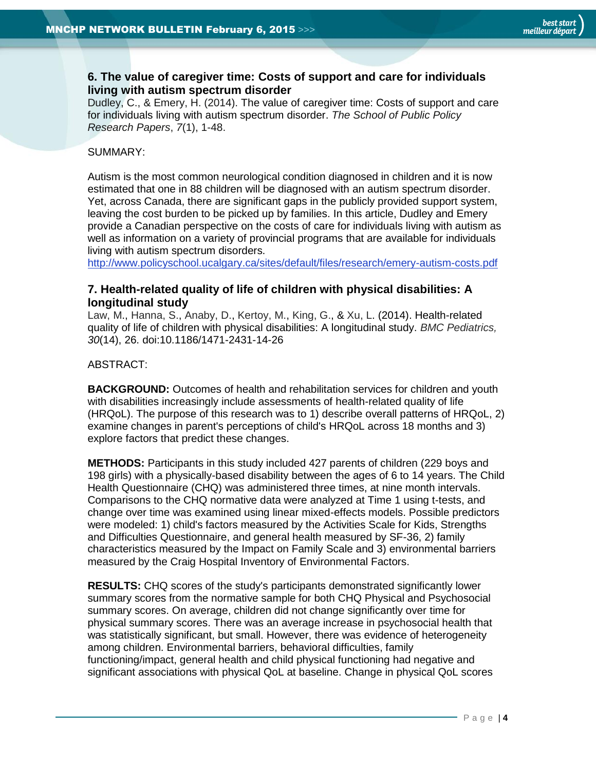### <span id="page-3-0"></span>**6. The value of caregiver time: Costs of support and care for individuals living with autism spectrum disorder**

Dudley, C., & Emery, H. (2014). The value of caregiver time: Costs of support and care for individuals living with autism spectrum disorder. *The School of Public Policy Research Papers*, *7*(1), 1-48.

#### SUMMARY:

Autism is the most common neurological condition diagnosed in children and it is now estimated that one in 88 children will be diagnosed with an autism spectrum disorder. Yet, across Canada, there are significant gaps in the publicly provided support system, leaving the cost burden to be picked up by families. In this article, Dudley and Emery provide a Canadian perspective on the costs of care for individuals living with autism as well as information on a variety of provincial programs that are available for individuals living with autism spectrum disorders.

<span id="page-3-1"></span><http://www.policyschool.ucalgary.ca/sites/default/files/research/emery-autism-costs.pdf>

### **7. Health-related quality of life of children with physical disabilities: A longitudinal study**

[Law,](http://www.ncbi.nlm.nih.gov/pubmed?term=Law%20M%5BAuthor%5D&cauthor=true&cauthor_uid=24476085) M., [Hanna,](http://www.ncbi.nlm.nih.gov/pubmed?term=Hanna%20S%5BAuthor%5D&cauthor=true&cauthor_uid=24476085) S., [Anaby,](http://www.ncbi.nlm.nih.gov/pubmed?term=Anaby%20D%5BAuthor%5D&cauthor=true&cauthor_uid=24476085) D., [Kertoy,](http://www.ncbi.nlm.nih.gov/pubmed?term=Kertoy%20M%5BAuthor%5D&cauthor=true&cauthor_uid=24476085) M., [King,](http://www.ncbi.nlm.nih.gov/pubmed?term=King%20G%5BAuthor%5D&cauthor=true&cauthor_uid=24476085) G., & [Xu,](http://www.ncbi.nlm.nih.gov/pubmed?term=Xu%20L%5BAuthor%5D&cauthor=true&cauthor_uid=24476085) L. (2014). Health-related quality of life of children with physical disabilities: A longitudinal study. *BMC Pediatrics, 30*(14), 26. doi:10.1186/1471-2431-14-26

#### ABSTRACT:

**BACKGROUND:** Outcomes of health and rehabilitation services for children and youth with disabilities increasingly include assessments of health-related quality of life (HRQoL). The purpose of this research was to 1) describe overall patterns of HRQoL, 2) examine changes in parent's perceptions of child's HRQoL across 18 months and 3) explore factors that predict these changes.

**METHODS:** Participants in this study included 427 parents of children (229 boys and 198 girls) with a physically-based disability between the ages of 6 to 14 years. The Child Health Questionnaire (CHQ) was administered three times, at nine month intervals. Comparisons to the CHQ normative data were analyzed at Time 1 using t-tests, and change over time was examined using linear mixed-effects models. Possible predictors were modeled: 1) child's factors measured by the Activities Scale for Kids, Strengths and Difficulties Questionnaire, and general health measured by SF-36, 2) family characteristics measured by the Impact on Family Scale and 3) environmental barriers measured by the Craig Hospital Inventory of Environmental Factors.

**RESULTS:** CHQ scores of the study's participants demonstrated significantly lower summary scores from the normative sample for both CHQ Physical and Psychosocial summary scores. On average, children did not change significantly over time for physical summary scores. There was an average increase in psychosocial health that was statistically significant, but small. However, there was evidence of heterogeneity among children. Environmental barriers, behavioral difficulties, family functioning/impact, general health and child physical functioning had negative and significant associations with physical QoL at baseline. Change in physical QoL scores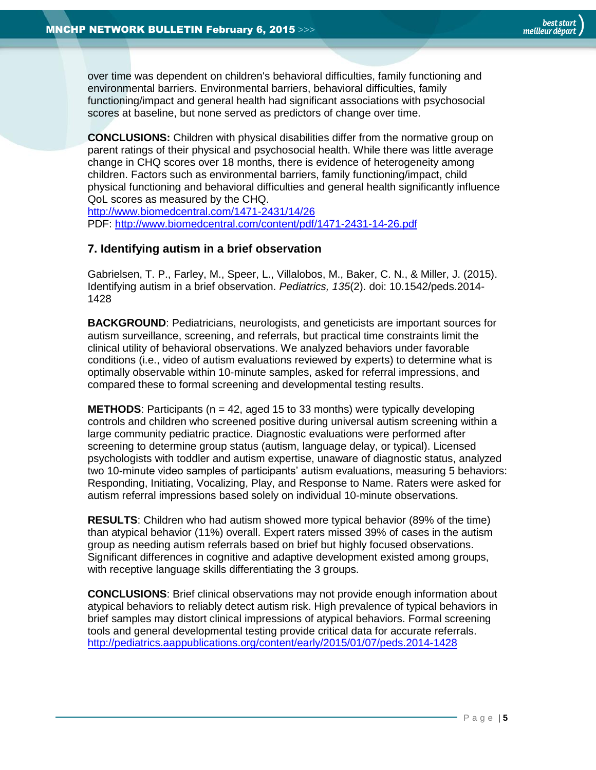over time was dependent on children's behavioral difficulties, family functioning and environmental barriers. Environmental barriers, behavioral difficulties, family functioning/impact and general health had significant associations with psychosocial scores at baseline, but none served as predictors of change over time.

**CONCLUSIONS:** Children with physical disabilities differ from the normative group on parent ratings of their physical and psychosocial health. While there was little average change in CHQ scores over 18 months, there is evidence of heterogeneity among children. Factors such as environmental barriers, family functioning/impact, child physical functioning and behavioral difficulties and general health significantly influence QoL scores as measured by the CHQ.

<http://www.biomedcentral.com/1471-2431/14/26> PDF:<http://www.biomedcentral.com/content/pdf/1471-2431-14-26.pdf>

### **7. Identifying autism in a brief observation**

Gabrielsen, T. P., Farley, M., Speer, L., Villalobos, M., Baker, C. N., & Miller, J. (2015). Identifying autism in a brief observation. *Pediatrics, 135*(2). doi: 10.1542/peds.2014- 1428

**BACKGROUND**: Pediatricians, neurologists, and geneticists are important sources for autism surveillance, screening, and referrals, but practical time constraints limit the clinical utility of behavioral observations. We analyzed behaviors under favorable conditions (i.e., video of autism evaluations reviewed by experts) to determine what is optimally observable within 10-minute samples, asked for referral impressions, and compared these to formal screening and developmental testing results.

**METHODS:** Participants ( $n = 42$ , aged 15 to 33 months) were typically developing controls and children who screened positive during universal autism screening within a large community pediatric practice. Diagnostic evaluations were performed after screening to determine group status (autism, language delay, or typical). Licensed psychologists with toddler and autism expertise, unaware of diagnostic status, analyzed two 10-minute video samples of participants' autism evaluations, measuring 5 behaviors: Responding, Initiating, Vocalizing, Play, and Response to Name. Raters were asked for autism referral impressions based solely on individual 10-minute observations.

**RESULTS**: Children who had autism showed more typical behavior (89% of the time) than atypical behavior (11%) overall. Expert raters missed 39% of cases in the autism group as needing autism referrals based on brief but highly focused observations. Significant differences in cognitive and adaptive development existed among groups, with receptive language skills differentiating the 3 groups.

**CONCLUSIONS**: Brief clinical observations may not provide enough information about atypical behaviors to reliably detect autism risk. High prevalence of typical behaviors in brief samples may distort clinical impressions of atypical behaviors. Formal screening tools and general developmental testing provide critical data for accurate referrals. <http://pediatrics.aappublications.org/content/early/2015/01/07/peds.2014-1428>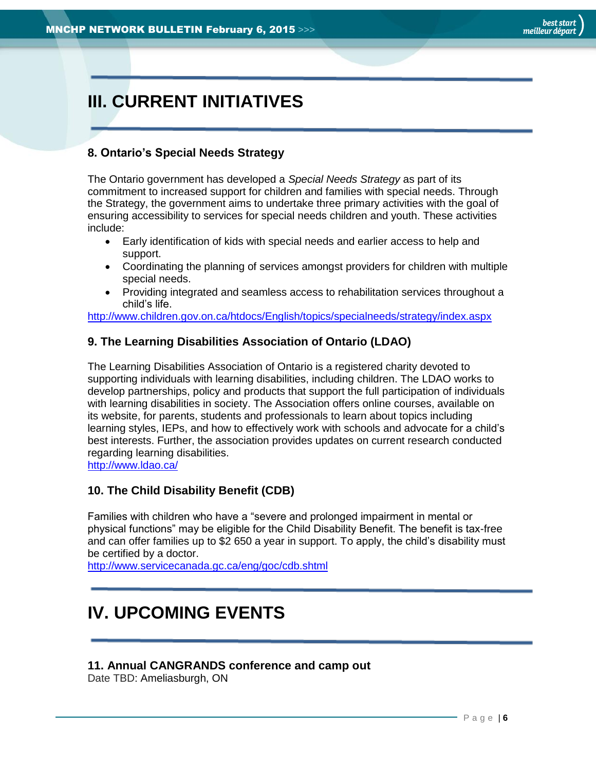# <span id="page-5-0"></span>**III. CURRENT INITIATIVES**

### <span id="page-5-1"></span>**8. Ontario's Special Needs Strategy**

The Ontario government has developed a *Special Needs Strategy* as part of its commitment to increased support for children and families with special needs. Through the Strategy, the government aims to undertake three primary activities with the goal of ensuring accessibility to services for special needs children and youth. These activities include:

- Early identification of kids with special needs and earlier access to help and support.
- Coordinating the planning of services amongst providers for children with multiple special needs.
- Providing integrated and seamless access to rehabilitation services throughout a child's life.

<http://www.children.gov.on.ca/htdocs/English/topics/specialneeds/strategy/index.aspx>

### <span id="page-5-2"></span>**9. The Learning Disabilities Association of Ontario (LDAO)**

The Learning Disabilities Association of Ontario is a registered charity devoted to supporting individuals with learning disabilities, including children. The LDAO works to develop partnerships, policy and products that support the full participation of individuals with learning disabilities in society. The Association offers online courses, available on its website, for parents, students and professionals to learn about topics including learning styles, IEPs, and how to effectively work with schools and advocate for a child's best interests. Further, the association provides updates on current research conducted regarding learning disabilities.

<http://www.ldao.ca/>

### <span id="page-5-3"></span>**10. The [Child Disability Benefit \(CDB\)](http://www.cra-arc.gc.ca/cdb/)**

Families with children who have a "severe and prolonged impairment in mental or physical functions" may be eligible for the Child Disability Benefit. The benefit is tax-free and can offer families up to \$2 650 a year in support. To apply, the child's disability must be certified by a doctor.

<span id="page-5-4"></span><http://www.servicecanada.gc.ca/eng/goc/cdb.shtml>

### **IV. UPCOMING EVENTS**

### <span id="page-5-5"></span>**11. Annual CANGRANDS conference and camp out**

Date TBD: Ameliasburgh, ON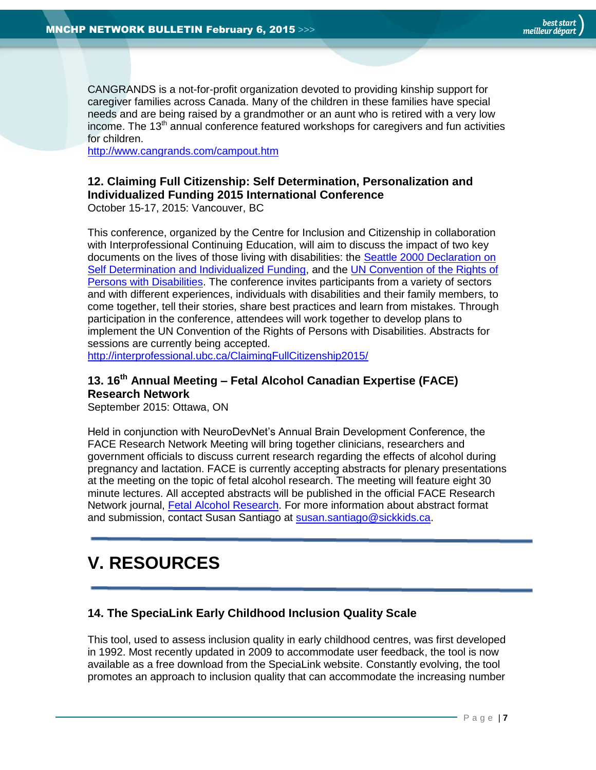CANGRANDS is a not-for-profit organization devoted to providing kinship support for caregiver families across Canada. Many of the children in these families have special needs and are being raised by a grandmother or an aunt who is retired with a very low income. The 13<sup>th</sup> annual conference featured workshops for caregivers and fun activities for children.

<http://www.cangrands.com/campout.htm>

### <span id="page-6-0"></span>**12. Claiming Full Citizenship: Self Determination, Personalization and Individualized Funding 2015 International Conference**

October 15-17, 2015: Vancouver, BC

This conference, organized by the Centre for Inclusion and Citizenship in collaboration with Interprofessional Continuing Education, will aim to discuss the impact of two key documents on the lives of those living with disabilities: the [Seattle 2000 Declaration on](http://members.shaw.ca/individualizedfunding/Declaration.htm)  [Self Determination and Individualized Funding,](http://members.shaw.ca/individualizedfunding/Declaration.htm) and the [UN Convention of the Rights of](http://www.un.org/disabilities/convention/conventionfull.shtml)  [Persons with Disabilities.](http://www.un.org/disabilities/convention/conventionfull.shtml) The conference invites participants from a variety of sectors and with different experiences, individuals with disabilities and their family members, to come together, tell their stories, share best practices and learn from mistakes. Through participation in the conference, attendees will work together to develop plans to implement the UN Convention of the Rights of Persons with Disabilities. Abstracts for sessions are currently being accepted.

<http://interprofessional.ubc.ca/ClaimingFullCitizenship2015/>

### <span id="page-6-1"></span>**13. 16th Annual Meeting – Fetal Alcohol Canadian Expertise (FACE) Research Network**

September 2015: Ottawa, ON

Held in conjunction with NeuroDevNet's Annual Brain Development Conference, the FACE Research Network Meeting will bring together clinicians, researchers and government officials to discuss current research regarding the effects of alcohol during pregnancy and lactation. FACE is currently accepting abstracts for plenary presentations at the meeting on the topic of fetal alcohol research. The meeting will feature eight 30 minute lectures. All accepted abstracts will be published in the official FACE Research Network journal, [Fetal Alcohol Research.](http://www.motherisk.org/FAR/index.jsp) For more information about abstract format and submission, contact Susan Santiago at [susan.santiago@sickkids.ca.](mailto:susan.santiago@sickkids.ca)

## <span id="page-6-2"></span>**V. RESOURCES**

### <span id="page-6-3"></span>**14. The SpeciaLink Early Childhood Inclusion Quality Scale**

This tool, used to assess inclusion quality in early childhood centres, was first developed in 1992. Most recently updated in 2009 to accommodate user feedback, the tool is now available as a free download from the SpeciaLink website. Constantly evolving, the tool promotes an approach to inclusion quality that can accommodate the increasing number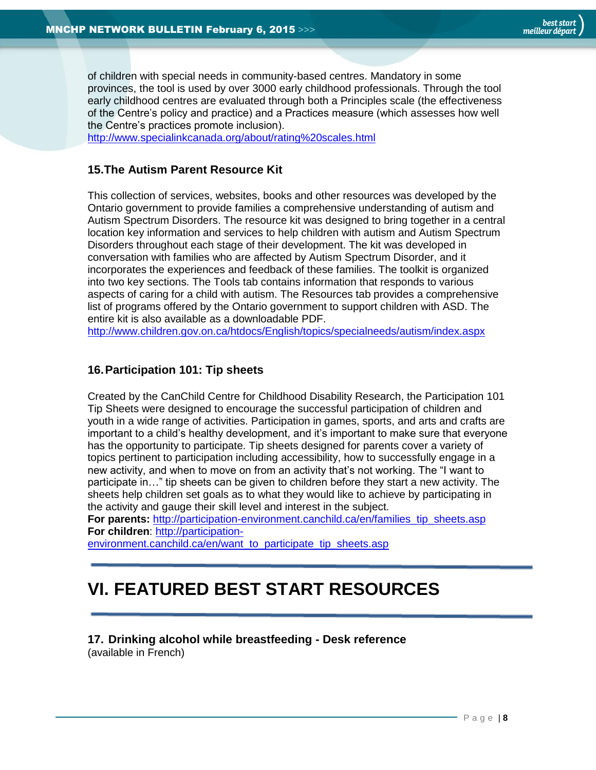of children with special needs in community-based centres. Mandatory in some provinces, the tool is used by over 3000 early childhood professionals. Through the tool early childhood centres are evaluated through both a Principles scale (the effectiveness of the Centre's policy and practice) and a Practices measure (which assesses how well the Centre's practices promote inclusion).

<http://www.specialinkcanada.org/about/rating%20scales.html>

### <span id="page-7-0"></span>**15.The Autism Parent Resource Kit**

This collection of services, websites, books and other resources was developed by the Ontario government to provide families a comprehensive understanding of autism and Autism Spectrum Disorders. The resource kit was designed to bring together in a central location key information and services to help children with autism and Autism Spectrum Disorders throughout each stage of their development. The kit was developed in conversation with families who are affected by Autism Spectrum Disorder, and it incorporates the experiences and feedback of these families. The toolkit is organized into two key sections. The Tools tab contains information that responds to various aspects of caring for a child with autism. The Resources tab provides a comprehensive list of programs offered by the Ontario government to support children with ASD. The entire kit is also available as a downloadable PDF.

<http://www.children.gov.on.ca/htdocs/English/topics/specialneeds/autism/index.aspx>

### <span id="page-7-1"></span>**16.Participation 101: Tip sheets**

Created by the CanChild Centre for Childhood Disability Research, the Participation 101 Tip Sheets were designed to encourage the successful participation of children and youth in a wide range of activities. Participation in games, sports, and arts and crafts are important to a child's healthy development, and it's important to make sure that everyone has the opportunity to participate. Tip sheets designed for parents cover a variety of topics pertinent to participation including accessibility, how to successfully engage in a new activity, and when to move on from an activity that's not working. The "I want to participate in…" tip sheets can be given to children before they start a new activity. The sheets help children set goals as to what they would like to achieve by participating in the activity and gauge their skill level and interest in the subject.

**For parents:** [http://participation-environment.canchild.ca/en/families\\_tip\\_sheets.asp](http://participation-environment.canchild.ca/en/families_tip_sheets.asp) **For children**: [http://participation-](http://participation-environment.canchild.ca/en/want_to_participate_tip_sheets.asp)

[environment.canchild.ca/en/want\\_to\\_participate\\_tip\\_sheets.asp](http://participation-environment.canchild.ca/en/want_to_participate_tip_sheets.asp)

## <span id="page-7-2"></span>**VI. FEATURED BEST START RESOURCES**

### <span id="page-7-3"></span>**17. Drinking alcohol while breastfeeding - Desk reference**

(available in French)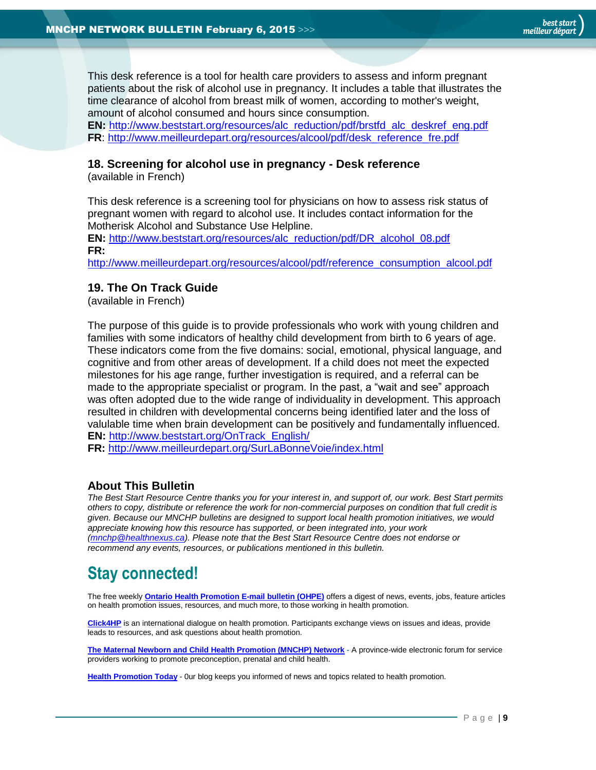This desk reference is a tool for health care providers to assess and inform pregnant patients about the risk of alcohol use in pregnancy. It includes a table that illustrates the time clearance of alcohol from breast milk of women, according to mother's weight, amount of alcohol consumed and hours since consumption.

**EN:** [http://www.beststart.org/resources/alc\\_reduction/pdf/brstfd\\_alc\\_deskref\\_eng.pdf](http://www.beststart.org/resources/alc_reduction/pdf/brstfd_alc_deskref_eng.pdf) **FR**: [http://www.meilleurdepart.org/resources/alcool/pdf/desk\\_reference\\_fre.pdf](http://www.meilleurdepart.org/resources/alcool/pdf/desk_reference_fre.pdf)

#### <span id="page-8-1"></span>**18. Screening for alcohol use in pregnancy - Desk reference**

(available in French)

This desk reference is a screening tool for physicians on how to assess risk status of pregnant women with regard to alcohol use. It includes contact information for the Motherisk Alcohol and Substance Use Helpline.

**EN:** [http://www.beststart.org/resources/alc\\_reduction/pdf/DR\\_alcohol\\_08.pdf](http://www.beststart.org/resources/alc_reduction/pdf/DR_alcohol_08.pdf) **FR:** 

[http://www.meilleurdepart.org/resources/alcool/pdf/reference\\_consumption\\_alcool.pdf](http://www.meilleurdepart.org/resources/alcool/pdf/reference_consumption_alcool.pdf)

### <span id="page-8-2"></span>**19. The On Track Guide**

(available in French)

The purpose of this guide is to provide professionals who work with young children and families with some indicators of healthy child development from birth to 6 years of age. These indicators come from the five domains: social, emotional, physical language, and cognitive and from other areas of development. If a child does not meet the expected milestones for his age range, further investigation is required, and a referral can be made to the appropriate specialist or program. In the past, a "wait and see" approach was often adopted due to the wide range of individuality in development. This approach resulted in children with developmental concerns being identified later and the loss of valulable time when brain development can be positively and fundamentally influenced. **EN:** [http://www.beststart.org/OnTrack\\_English/](http://www.beststart.org/OnTrack_English/)

**FR:** <http://www.meilleurdepart.org/SurLaBonneVoie/index.html>

### <span id="page-8-0"></span>**About This Bulletin**

*The Best Start Resource Centre thanks you for your interest in, and support of, our work. Best Start permits others to copy, distribute or reference the work for non-commercial purposes on condition that full credit is given. Because our MNCHP bulletins are designed to support local health promotion initiatives, we would appreciate knowing how this resource has supported, or been integrated into, your work [\(mnchp@healthnexus.ca\)](mailto:mnchp@healthnexus.ca). Please note that the Best Start Resource Centre does not endorse or recommend any events, resources, or publications mentioned in this bulletin.* 

## **Stay connected!**

The free weekly **[Ontario Health Promotion E-mail bulletin \(OHPE\)](http://www.ohpe.ca/)** offers a digest of news, events, jobs, feature articles on health promotion issues, resources, and much more, to those working in health promotion.

**[Click4HP](https://listserv.yorku.ca/archives/click4hp.html)** is an international dialogue on health promotion. Participants exchange views on issues and ideas, provide leads to resources, and ask questions about health promotion.

**[The Maternal Newborn and Child Health Promotion \(MNCHP\) Network](http://www.beststart.org/services/MNCHP.html) -** A province-wide electronic forum for service providers working to promote preconception, prenatal and child health.

**[Health Promotion Today](http://en.healthnexus.ca/)** - 0ur blog keeps you informed of news and topics related to health promotion.